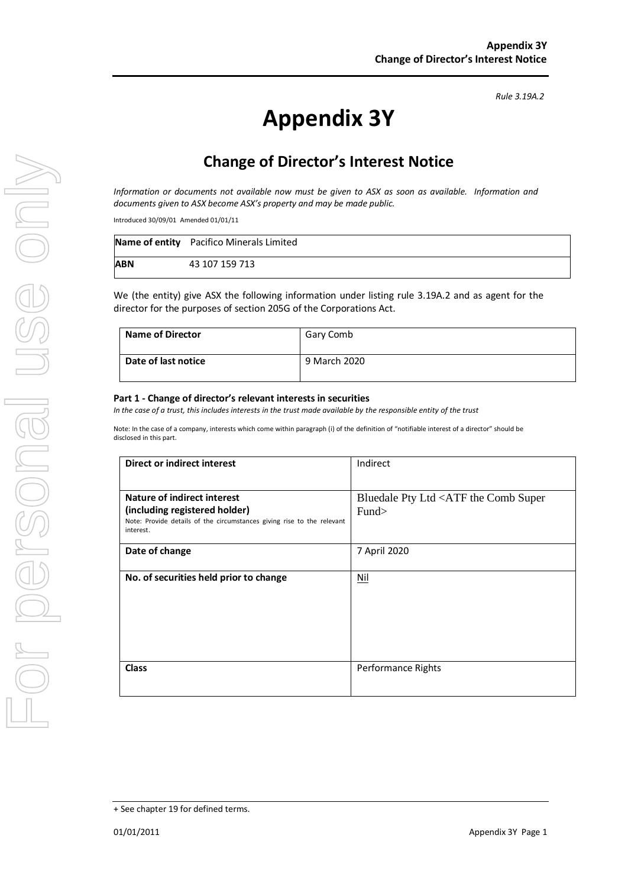# **Appendix 3Y**

# **Change of Director's Interest Notice**

*Information or documents not available now must be given to ASX as soon as available. Information and documents given to ASX become ASX's property and may be made public.*

Introduced 30/09/01 Amended 01/01/11

|            | Name of entity Pacifico Minerals Limited |
|------------|------------------------------------------|
| <b>ABN</b> | 43 107 159 713                           |

We (the entity) give ASX the following information under listing rule 3.19A.2 and as agent for the director for the purposes of section 205G of the Corporations Act.

| <b>Name of Director</b> | Gary Comb    |
|-------------------------|--------------|
| Date of last notice     | 9 March 2020 |

#### **Part 1 - Change of director's relevant interests in securities**

*In the case of a trust, this includes interests in the trust made available by the responsible entity of the trust*

Note: In the case of a company, interests which come within paragraph (i) of the definition of "notifiable interest of a director" should be disclosed in this part.

| <b>Direct or indirect interest</b>                                                                                   | Indirect                                                    |  |
|----------------------------------------------------------------------------------------------------------------------|-------------------------------------------------------------|--|
|                                                                                                                      |                                                             |  |
| <b>Nature of indirect interest</b>                                                                                   | Bluedale Pty Ltd <atf comb="" super<="" th="" the=""></atf> |  |
| (including registered holder)<br>Note: Provide details of the circumstances giving rise to the relevant<br>interest. | Fund                                                        |  |
| Date of change                                                                                                       | 7 April 2020                                                |  |
| No. of securities held prior to change                                                                               | <u>Nil</u>                                                  |  |
| <b>Class</b>                                                                                                         | <b>Performance Rights</b>                                   |  |

*Rule 3.19A.2*

<sup>+</sup> See chapter 19 for defined terms.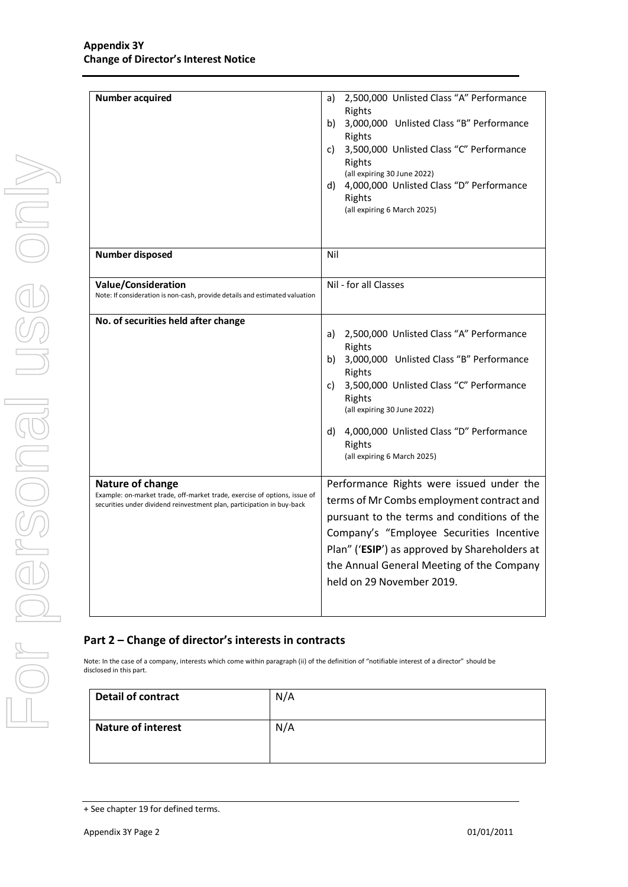| <b>Number acquired</b>                                                                                                                                                  | 2,500,000 Unlisted Class "A" Performance<br>a)<br>Rights<br>b) 3,000,000 Unlisted Class "B" Performance<br>Rights<br>3,500,000 Unlisted Class "C" Performance<br>C)<br>Rights<br>(all expiring 30 June 2022)<br>d) 4,000,000 Unlisted Class "D" Performance<br>Rights<br>(all expiring 6 March 2025)        |
|-------------------------------------------------------------------------------------------------------------------------------------------------------------------------|-------------------------------------------------------------------------------------------------------------------------------------------------------------------------------------------------------------------------------------------------------------------------------------------------------------|
| <b>Number disposed</b>                                                                                                                                                  | Nil                                                                                                                                                                                                                                                                                                         |
| <b>Value/Consideration</b><br>Note: If consideration is non-cash, provide details and estimated valuation                                                               | Nil - for all Classes                                                                                                                                                                                                                                                                                       |
| No. of securities held after change                                                                                                                                     | 2,500,000 Unlisted Class "A" Performance<br>a)<br>Rights<br>b) 3,000,000 Unlisted Class "B" Performance<br>Rights<br>3,500,000 Unlisted Class "C" Performance<br>C)<br>Rights<br>(all expiring 30 June 2022)<br>4,000,000 Unlisted Class "D" Performance<br>d)<br>Rights<br>(all expiring 6 March 2025)     |
| Nature of change<br>Example: on-market trade, off-market trade, exercise of options, issue of<br>securities under dividend reinvestment plan, participation in buy-back | Performance Rights were issued under the<br>terms of Mr Combs employment contract and<br>pursuant to the terms and conditions of the<br>Company's "Employee Securities Incentive<br>Plan" ('ESIP') as approved by Shareholders at<br>the Annual General Meeting of the Company<br>held on 29 November 2019. |

### **Part 2 – Change of director's interests in contracts**

Note: In the case of a company, interests which come within paragraph (ii) of the definition of "notifiable interest of a director" should be disclosed in this part.

| <b>Detail of contract</b> | N/A |
|---------------------------|-----|
| <b>Nature of interest</b> | N/A |

<sup>+</sup> See chapter 19 for defined terms.